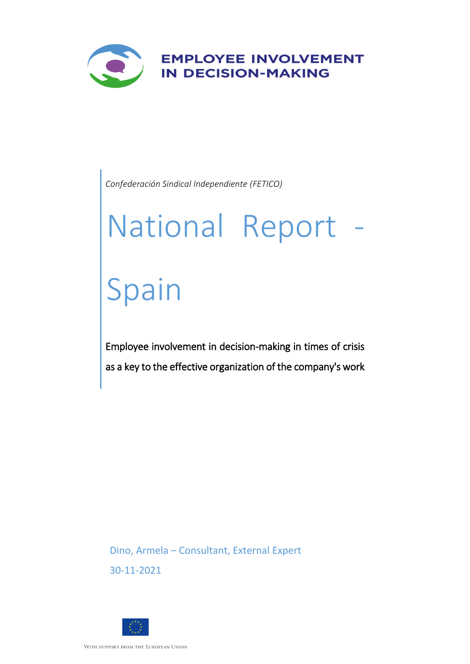

*Confederación Sindical Independiente (FETICO)*

# National Report - Spain

Employee involvement in decision-making in times of crisis as a key to the effective organization of the company's work

Dino, Armela – Consultant, External Expert 30-11-2021

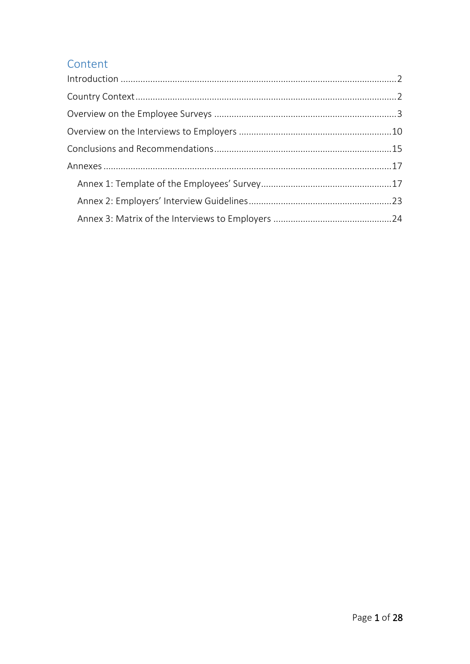# Content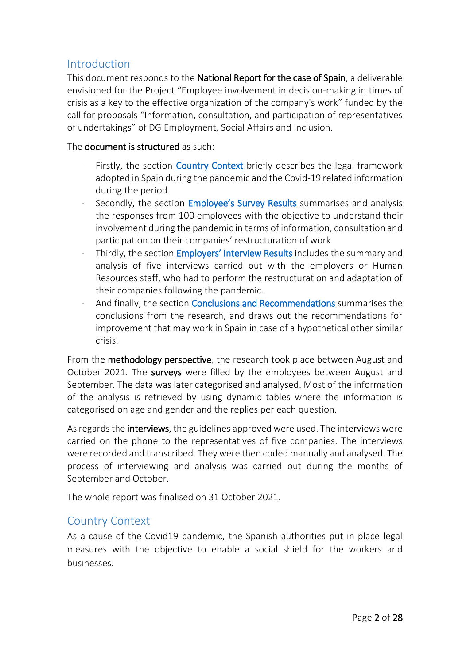# <span id="page-2-0"></span>Introduction

This document responds to the National Report for the case of Spain, a deliverable envisioned for the Project "Employee involvement in decision-making in times of crisis as a key to the effective organization of the company's work" funded by the call for proposals "Information, consultation, and participation of representatives of undertakings" of DG Employment, Social Affairs and Inclusion.

#### The document is structured as such:

- Firstly, the section [Country Context](#page-2-1) briefly describes the legal framework adopted in Spain during the pandemic and the Covid-19 related information during the period.
- Secondly, the section **[Employee's Survey](#page-2-1) Results** summarises and analysis the responses from 100 employees with the objective to understand their involvement during the pandemic in terms of information, consultation and participation on their companies' restructuration of work.
- Thirdly, the section Employers' Interview Results includes the summary and analysis of five interviews carried out with the employers or Human Resources staff, who had to perform the restructuration and adaptation of their companies following the pandemic.
- And finally, the section [Conclusions and Recommendations](#page-15-0) summarises the conclusions from the research, and draws out the recommendations for improvement that may work in Spain in case of a hypothetical other similar crisis.

From the methodology perspective, the research took place between August and October 2021. The surveys were filled by the employees between August and September. The data was later categorised and analysed. Most of the information of the analysis is retrieved by using dynamic tables where the information is categorised on age and gender and the replies per each question.

As regards the **interviews**, the guidelines approved were used. The interviews were carried on the phone to the representatives of five companies. The interviews were recorded and transcribed. They were then coded manually and analysed. The process of interviewing and analysis was carried out during the months of September and October.

The whole report was finalised on 31 October 2021.

# <span id="page-2-1"></span>Country Context

As a cause of the Covid19 pandemic, the Spanish authorities put in place legal measures with the objective to enable a social shield for the workers and businesses.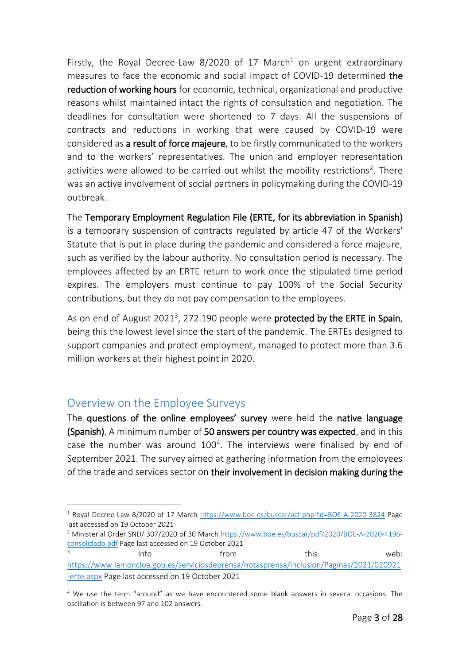Firstly, the Royal Decree-Law 8/2020 of 17 March<sup>1</sup> on urgent extraordinary measures to face the economic and social impact of COVID-19 determined the reduction of working hours for economic, technical, organizational and productive reasons whilst maintained intact the rights of consultation and negotiation. The deadlines for consultation were shortened to 7 days. All the suspensions of contracts and reductions in working that were caused by COVID-19 were considered as a result of force majeure, to be firstly communicated to the workers and to the workers' representatives. The union and employer representation activities were allowed to be carried out whilst the mobility restrictions<sup>2</sup>. There was an active involvement of social partners in policymaking during the COVID-19 outbreak.

The Temporary Employment Regulation File (ERTE, for its abbreviation in Spanish) is a temporary suspension of contracts regulated by article 47 of the Workers' Statute that is put in place during the pandemic and considered a force majeure, such as verified by the labour authority. No consultation period is necessary. The employees affected by an ERTE return to work once the stipulated time period expires. The employers must continue to pay 100% of the Social Security contributions, but they do not pay compensation to the employees.

As on end of August 2021<sup>3</sup>, 272.190 people were **protected by the ERTE in Spain**, being this the lowest level since the start of the pandemic. The ERTEs designed to support companies and protect employment, managed to protect more than 3.6 million workers at their highest point in 2020.

# <span id="page-3-0"></span>Overview on the Employee Surveys

1

3

The questions of the online employees' survey were held the native language (Spanish). A minimum number of 50 answers per country was expected, and in this case the number was around  $100<sup>4</sup>$ . The interviews were finalised by end of September 2021. The survey aimed at gathering information from the employees of the trade and services sector on their involvement in decision making during the

<sup>2</sup> Ministerial Order SND/ 307/2020 of 30 March [https://www.boe.es/buscar/pdf/2020/BOE-A-2020-4196](https://www.boe.es/buscar/pdf/2020/BOE-A-2020-4196-consolidado.pdf) [consolidado.pdf](https://www.boe.es/buscar/pdf/2020/BOE-A-2020-4196-consolidado.pdf) Page last accessed on 19 October 2021

Info example from this this web: [https://www.lamoncloa.gob.es/serviciosdeprensa/notasprensa/inclusion/Paginas/2021/020921](https://www.lamoncloa.gob.es/serviciosdeprensa/notasprensa/inclusion/Paginas/2021/020921-erte.aspx) [-erte.aspx](https://www.lamoncloa.gob.es/serviciosdeprensa/notasprensa/inclusion/Paginas/2021/020921-erte.aspx) Page last accessed on 19 October 2021

<sup>1</sup> Royal Decree-Law 8/2020 of 17 March <https://www.boe.es/buscar/act.php?id=BOE-A-2020-3824> Page last accessed on 19 October 2021

<sup>4</sup> We use the term "around" as we have encountered some blank answers in several occasions. The oscillation is between 97 and 102 answers.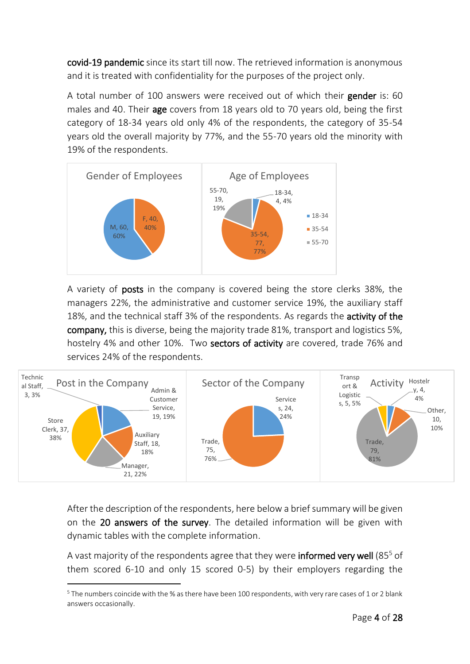covid-19 pandemic since its start till now. The retrieved information is anonymous and it is treated with confidentiality for the purposes of the project only.

A total number of 100 answers were received out of which their gender is: 60 males and 40. Their **age** covers from 18 years old to 70 years old, being the first category of 18-34 years old only 4% of the respondents, the category of 35-54 years old the overall majority by 77%, and the 55-70 years old the minority with 19% of the respondents.



A variety of posts in the company is covered being the store clerks 38%, the managers 22%, the administrative and customer service 19%, the auxiliary staff 18%, and the technical staff 3% of the respondents. As regards the **activity of the** company, this is diverse, being the majority trade 81%, transport and logistics 5%, hostelry 4% and other 10%. Two sectors of activity are covered, trade 76% and services 24% of the respondents.



After the description of the respondents, here below a brief summary will be given on the 20 answers of the survey. The detailed information will be given with dynamic tables with the complete information.

A vast majority of the respondents agree that they were **informed very well** (85 $5$  of them scored 6-10 and only 15 scored 0-5) by their employers regarding the

.

 $5$  The numbers coincide with the % as there have been 100 respondents, with very rare cases of 1 or 2 blank answers occasionally.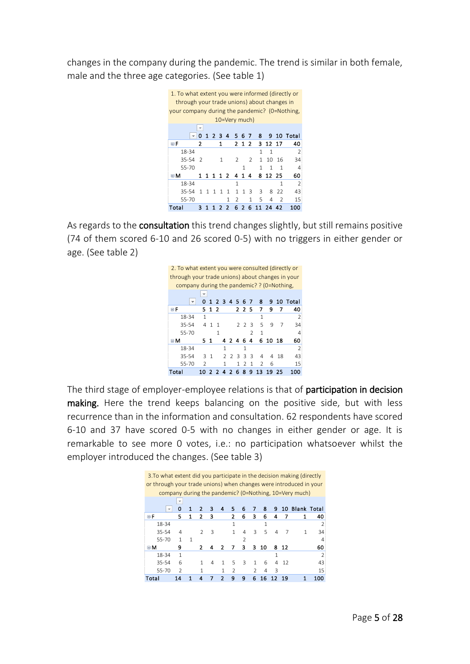changes in the company during the pandemic. The trend is similar in both female, male and the three age categories. (See table 1)



As regards to the **consultation** this trend changes slightly, but still remains positive (74 of them scored 6-10 and 26 scored 0-5) with no triggers in either gender or age. (See table 2)



The third stage of employer-employee relations is that of participation in decision making. Here the trend keeps balancing on the positive side, but with less recurrence than in the information and consultation. 62 respondents have scored 6-10 and 37 have scored 0-5 with no changes in either gender or age. It is remarkable to see more 0 votes, i.e.: no participation whatsoever whilst the employer introduced the changes. (See table 3)

| 3. To what extent did you participate in the decision making (directly |               |              |               |   |   |               |               |               |    |   |     |                                                        |               |
|------------------------------------------------------------------------|---------------|--------------|---------------|---|---|---------------|---------------|---------------|----|---|-----|--------------------------------------------------------|---------------|
| or through your trade unions) when changes were introduced in your     |               |              |               |   |   |               |               |               |    |   |     |                                                        |               |
|                                                                        |               |              |               |   |   |               |               |               |    |   |     | company during the pandemic? (0=Nothing, 10=Very much) |               |
|                                                                        | ▼             |              |               |   |   |               |               |               |    |   |     |                                                        |               |
|                                                                        | Ω             |              | 2             | 3 | 4 | 5             | 6             | 7             | 8  | 9 | 10  | <b>Blank Total</b>                                     |               |
| ΘF                                                                     | 5             | 1            | 2             | з |   | 2             | 6             | 3             | 6  | 4 |     | 1                                                      | 40            |
| 18-34                                                                  |               |              |               |   |   | 1             |               |               | 1  |   |     |                                                        | $\mathcal{P}$ |
| 35-54                                                                  | 4             |              | $\mathcal{L}$ | 3 |   | 1             | 4             | 3             | 5  | 4 | 7   | 1                                                      | 34            |
| 55-70                                                                  | 1             | $\mathbf{1}$ |               |   |   |               | $\mathcal{P}$ |               |    |   |     |                                                        | 4             |
| ⊟Μ                                                                     | 9             |              | 2             |   | 2 |               | з             | з             | 10 | 8 | -12 |                                                        | 60            |
| 18-34                                                                  | 1             |              |               |   |   |               |               |               |    | 1 |     |                                                        | $\mathcal{P}$ |
| 35-54                                                                  | 6             |              | 1             | 4 |   | 5             | З             | 1             | 6  | 4 | 12  |                                                        | 43            |
| 55-70                                                                  | $\mathcal{P}$ |              |               |   | 1 | $\mathcal{P}$ |               | $\mathcal{P}$ | 4  | 3 |     |                                                        | 15            |
| Total                                                                  | 14            |              | 4             | 7 | 2 | 9             | ٩             | 6             | 16 |   | 19  | 1                                                      | 100           |
|                                                                        |               |              |               |   |   |               |               |               |    |   |     |                                                        |               |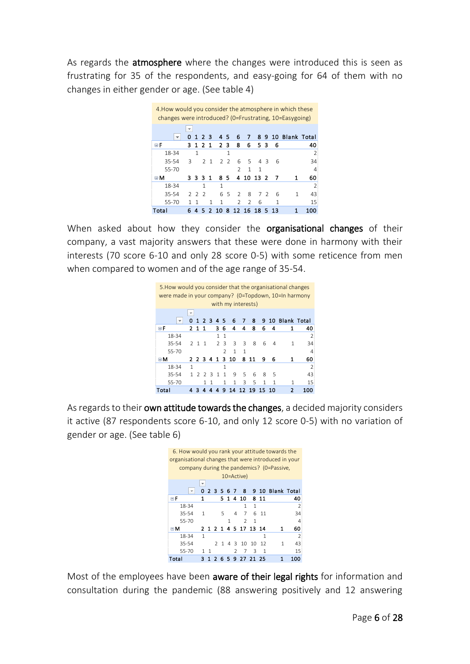As regards the **atmosphere** where the changes were introduced this is seen as frustrating for 35 of the respondents, and easy-going for 64 of them with no changes in either gender or age. (See table 4)



When asked about how they consider the **organisational changes** of their company, a vast majority answers that these were done in harmony with their interests (70 score 6-10 and only 28 score 0-5) with some reticence from men when compared to women and of the age range of 35-54.



As regards to their own attitude towards the changes, a decided majority considers it active (87 respondents score 6-10, and only 12 score 0-5) with no variation of gender or age. (See table 6)



Most of the employees have been aware of their legal rights for information and consultation during the pandemic (88 answering positively and 12 answering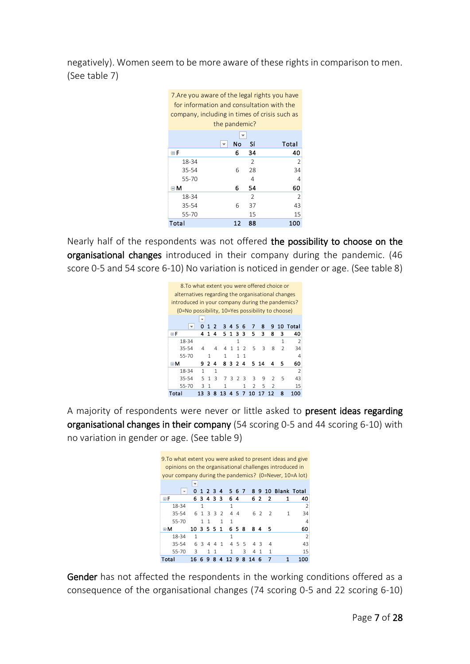negatively). Women seem to be more aware of these rights in comparison to men. (See table 7)



Nearly half of the respondents was not offered the possibility to choose on the organisational changes introduced in their company during the pandemic. (46 score 0-5 and 54 score 6-10) No variation is noticed in gender or age. (See table 8)



A majority of respondents were never or little asked to present ideas regarding organisational changes in their company (54 scoring 0-5 and 44 scoring 6-10) with no variation in gender or age. (See table 9)



Gender has not affected the respondents in the working conditions offered as a consequence of the organisational changes (74 scoring 0-5 and 22 scoring 6-10)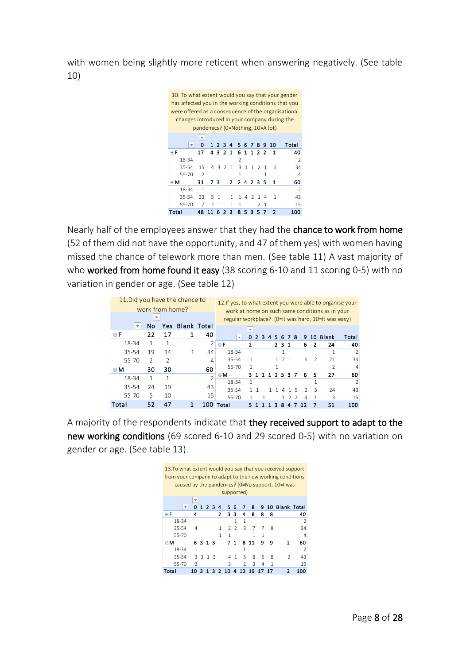with women being slightly more reticent when answering negatively. (See table 10)



Nearly half of the employees answer that they had the chance to work from home (52 of them did not have the opportunity, and 47 of them yes) with women having missed the chance of telework more than men. (See table 11) A vast majority of who worked from home found it easy (38 scoring 6-10 and 11 scoring 0-5) with no variation in gender or age. (See table 12)

|                          |                 |                | 11. Did you have the chance to |    | 12. If yes, to what extent you were able to organise your |                          |               |   |              |    |      |                  |     |                |                          |                                                 |                          |
|--------------------------|-----------------|----------------|--------------------------------|----|-----------------------------------------------------------|--------------------------|---------------|---|--------------|----|------|------------------|-----|----------------|--------------------------|-------------------------------------------------|--------------------------|
|                          | work from home? |                |                                |    |                                                           |                          |               |   |              |    |      |                  |     |                |                          | work at home on such same conditions as in your |                          |
|                          |                 |                |                                |    | regular workplace? (0=It was hard, 10=It was easy)        |                          |               |   |              |    |      |                  |     |                |                          |                                                 |                          |
| $\overline{\phantom{a}}$ | <b>No</b>       |                | <b>Yes Blank Total</b>         |    |                                                           | $\overline{\phantom{a}}$ |               |   |              |    |      |                  |     |                |                          |                                                 |                          |
| 日日                       | 22              | 17             | 1                              | 40 | $\mathbf{v}$                                              | 0                        | $\mathcal{P}$ | 3 | $\mathbf{A}$ |    | 5678 |                  |     | 9.             |                          | 10 Blank                                        | Total                    |
| 18-34                    | 1               | 1              |                                | 2  | ΘF                                                        | 2                        |               |   |              |    | 231  |                  |     | 6              | 2                        | 24                                              | 40                       |
| 35-54                    | 19              | 14             | 1                              | 34 | 18-34                                                     |                          |               |   |              |    | 1    |                  |     |                |                          |                                                 | $\overline{\phantom{a}}$ |
| 55-70                    | $\overline{2}$  | $\mathfrak{p}$ |                                | 4  | 35-54                                                     | 1                        |               |   |              |    |      | 2 <sub>1</sub>   |     | 6              | $\overline{\phantom{a}}$ | 21                                              | 34                       |
| ΘM                       | 30              | 30             |                                | 60 | $55 - 70$                                                 |                          |               |   |              |    |      |                  |     |                |                          | 2                                               | 4                        |
| 18-34                    | 1               | 1              |                                |    | ⊟М                                                        |                          |               |   |              | 1. | 5.   | 3                |     | 6              | 5                        | 27                                              | 60                       |
|                          |                 |                |                                |    | 18-34                                                     | 1                        |               |   |              |    |      |                  |     |                | 1                        |                                                 | $\overline{\phantom{0}}$ |
| 35-54                    | 24              | 19             |                                | 43 | 35-54                                                     |                          |               |   |              |    |      |                  | 5   | $\mathcal{L}$  | Β                        | 24                                              | 43                       |
| 55-70                    | 5               | 10             |                                | 15 | $55 - 70$                                                 |                          |               |   |              |    |      |                  | 122 | $\overline{4}$ | 1                        | 3                                               | 15                       |
| Total                    | 52              | 47             | 1                              |    | 100 Total                                                 | 51                       |               |   | 1.           |    | 38   | $\blacktriangle$ | -7. | 12             | 7                        | 51                                              | 100                      |

A majority of the respondents indicate that they received support to adapt to the new working conditions (69 scored 6-10 and 29 scored 0-5) with no variation on gender or age. (See table 13).

|       |                                                                                     |                          |              |  |                |                |    |                |               |    |       |   | 13. To what extent would you say that you received support<br>from your company to adapt to the new working conditions<br>caused by the pandemics? (0=No support, 10=I was |                          |  |
|-------|-------------------------------------------------------------------------------------|--------------------------|--------------|--|----------------|----------------|----|----------------|---------------|----|-------|---|----------------------------------------------------------------------------------------------------------------------------------------------------------------------------|--------------------------|--|
|       | supported)<br>▼                                                                     |                          |              |  |                |                |    |                |               |    |       |   |                                                                                                                                                                            |                          |  |
|       | 9 10 Blank Total<br>8<br>0<br>5.<br>-6<br>7<br>123<br>4<br>$\overline{\phantom{a}}$ |                          |              |  |                |                |    |                |               |    |       |   |                                                                                                                                                                            |                          |  |
| ΘF    |                                                                                     | 4                        |              |  |                | 2              | 3  | з              | 4             | 8  | 8     | 8 |                                                                                                                                                                            | 40                       |  |
|       | 18-34                                                                               |                          |              |  |                |                |    | 1              | $\mathbf{1}$  |    |       |   |                                                                                                                                                                            | $\overline{2}$           |  |
|       | 35-54                                                                               | 4                        |              |  |                | 1              |    | 2 <sub>2</sub> | 3             | 7  | 7     | 8 |                                                                                                                                                                            | 34                       |  |
|       | $55 - 70$                                                                           |                          |              |  |                | 1              | 1  |                |               | 1  | 1     |   |                                                                                                                                                                            | $\overline{4}$           |  |
| ΞM    |                                                                                     |                          | 6313         |  |                |                |    | 71             | 8.            | 11 | ٩     | ٩ | 2                                                                                                                                                                          | 60                       |  |
|       | 18-34                                                                               | 1                        |              |  |                |                |    |                | 1             |    |       |   |                                                                                                                                                                            | $\overline{\phantom{a}}$ |  |
|       | 35-54                                                                               | $\mathbf{R}$             | $\mathbf{R}$ |  | 1 <sup>3</sup> |                | 4  | $\mathbf{1}$   | 5             | 8  | 5     | 8 | $\mathcal{P}$                                                                                                                                                              | 43                       |  |
|       | $55 - 70$                                                                           | $\overline{\phantom{a}}$ |              |  |                |                | 3  |                | $\mathcal{P}$ | 3  | 4     | 1 |                                                                                                                                                                            | 15                       |  |
| Total |                                                                                     | 10                       | З            |  | 13             | $\overline{2}$ | 10 | 4              | 12            | 19 | 17 17 |   | $\overline{2}$                                                                                                                                                             | 100                      |  |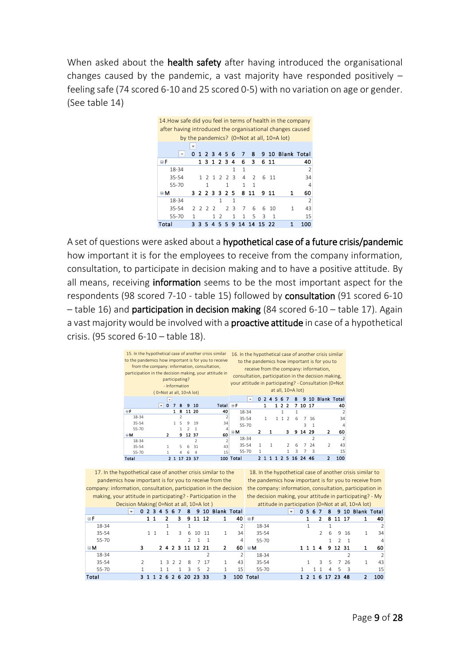When asked about the **health safety** after having introduced the organisational changes caused by the pandemic, a vast majority have responded positively – feeling safe (74 scored 6-10 and 25 scored 0-5) with no variation on age or gender. (See table 14)



A set of questions were asked about a hypothetical case of a future crisis/pandemic how important it is for the employees to receive from the company information, consultation, to participate in decision making and to have a positive attitude. By all means, receiving information seems to be the most important aspect for the respondents (98 scored 7-10 - table 15) followed by consultation (91 scored 6-10 – table 16) and participation in decision making (84 scored 6-10 – table 17). Again a vast majority would be involved with a **proactive attitude** in case of a hypothetical crisis. (95 scored 6-10 – table 18).



17. In the hypothetical case of another crisis similar to the pandemics how important is for you to receive from the company: information, consultation, participation in the decision the company: information, consultation, participation in  $D$ ecision Making(  $0$ =Not at all, 10=A lot  $\alpha$ 

18. In the hypothetical case of another crisis similar to the pandemics how important is for you to receive from attitude in participation (0=Not at all, 10=A lot)

| making, your attitude in participating? - Participation in the |                                          |               |         |    |               |                        |       |    |                  | the decision making, your attitude in participating? - My |                         |      |               |     |                  |      |                    |                |
|----------------------------------------------------------------|------------------------------------------|---------------|---------|----|---------------|------------------------|-------|----|------------------|-----------------------------------------------------------|-------------------------|------|---------------|-----|------------------|------|--------------------|----------------|
|                                                                | Decision Making (0=Not at all, 10=A lot) |               |         |    |               |                        |       |    |                  | attitude in participation (0=Not at all, 10=A lot)        |                         |      |               |     |                  |      |                    |                |
|                                                                | $\overline{\mathbf{v}}$                  | 0 2 3 4 5 6 7 |         |    | 8             |                        |       |    | 9 10 Blank Total |                                                           | $\overline{\mathbf{v}}$ | 0567 |               |     |                  |      | 8 9 10 Blank Total |                |
| ΘF                                                             |                                          | $1 \; 1$      | 2       | з. |               | 9 11 12                |       |    | 40               | ЕF                                                        |                         |      | 2             |     | 8 11 17          |      | 1                  | 40             |
| 18-34                                                          |                                          |               |         |    |               |                        |       |    |                  | 18-34                                                     |                         |      |               |     |                  |      |                    |                |
| 35-54                                                          |                                          |               |         | 3. | 6             |                        | 10 11 |    | 34               | 35-54                                                     |                         |      | $\mathcal{L}$ | 6   |                  | 9 16 |                    | 34             |
| $55 - 70$                                                      |                                          |               |         |    | $\mathcal{L}$ |                        |       |    | 4                | 55-70                                                     |                         |      |               |     | $\mathcal{L}$    |      |                    | $\overline{4}$ |
| <b>BM</b>                                                      | 3                                        |               |         |    |               | 2 4 2 3 11 12 21       |       | 2  | 60               | B M                                                       |                         |      | 1 1 1 4       |     | 9 12 31          |      | 1.                 | 60             |
| 18-34                                                          |                                          |               |         |    |               |                        |       |    |                  | 18-34                                                     |                         |      |               |     |                  |      |                    |                |
| 35-54                                                          |                                          |               | 1 3 2 2 |    | 8             |                        | 7 17  |    | 43               | 35-54                                                     |                         |      | 3.            | .5. |                  | 7 26 |                    | 43             |
| 55-70                                                          |                                          |               |         |    | 3.            | 5                      |       |    | 15               | 55-70                                                     |                         |      | 11            | 4   | 5.               | -3   |                    | 15             |
| Total                                                          |                                          |               |         |    |               | 3 1 1 2 6 2 6 20 23 33 |       | 3. |                  | 100 Total                                                 |                         |      |               |     | 1 2 1 6 17 23 48 |      | 2                  | 100            |
|                                                                |                                          |               |         |    |               |                        |       |    |                  |                                                           |                         |      |               |     |                  |      |                    |                |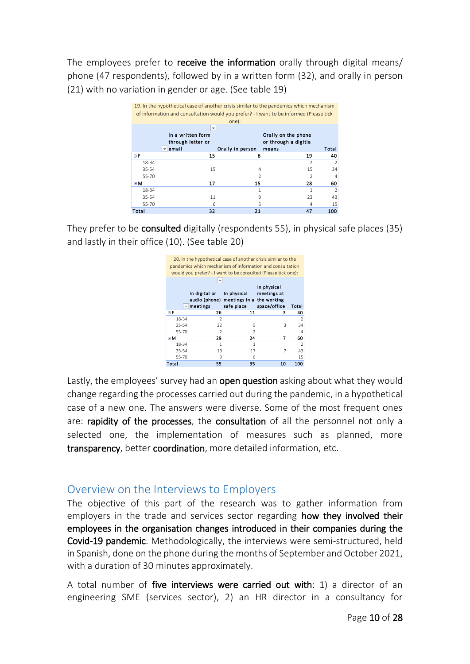The employees prefer to **receive the information** orally through digital means/ phone (47 respondents), followed by in a written form (32), and orally in person (21) with no variation in gender or age. (See table 19)



They prefer to be consulted digitally (respondents 55), in physical safe places (35) and lastly in their office (10). (See table 20)



Lastly, the employees' survey had an **open question** asking about what they would change regarding the processes carried out during the pandemic, in a hypothetical case of a new one. The answers were diverse. Some of the most frequent ones are: rapidity of the processes, the consultation of all the personnel not only a selected one, the implementation of measures such as planned, more transparency, better coordination, more detailed information, etc.

# <span id="page-10-0"></span>Overview on the Interviews to Employers

The objective of this part of the research was to gather information from employers in the trade and services sector regarding how they involved their employees in the organisation changes introduced in their companies during the Covid-19 pandemic. Methodologically, the interviews were semi-structured, held in Spanish, done on the phone during the months of September and October 2021, with a duration of 30 minutes approximately.

A total number of five interviews were carried out with: 1) a director of an engineering SME (services sector), 2) an HR director in a consultancy for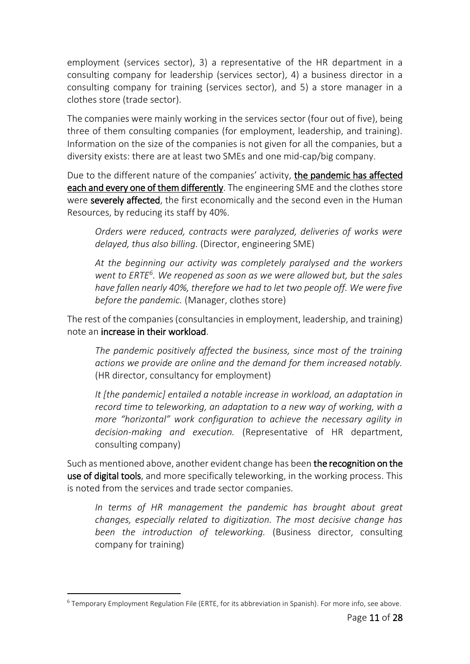employment (services sector), 3) a representative of the HR department in a consulting company for leadership (services sector), 4) a business director in a consulting company for training (services sector), and 5) a store manager in a clothes store (trade sector).

The companies were mainly working in the services sector (four out of five), being three of them consulting companies (for employment, leadership, and training). Information on the size of the companies is not given for all the companies, but a diversity exists: there are at least two SMEs and one mid-cap/big company.

Due to the different nature of the companies' activity, the pandemic has affected each and every one of them differently. The engineering SME and the clothes store were severely affected, the first economically and the second even in the Human Resources, by reducing its staff by 40%.

*Orders were reduced, contracts were paralyzed, deliveries of works were delayed, thus also billing.* (Director, engineering SME)

*At the beginning our activity was completely paralysed and the workers went to ERTE<sup>6</sup> . We reopened as soon as we were allowed but, but the sales have fallen nearly 40%, therefore we had to let two people off. We were five before the pandemic.* (Manager, clothes store)

The rest of the companies (consultancies in employment, leadership, and training) note an increase in their workload.

*The pandemic positively affected the business, since most of the training actions we provide are online and the demand for them increased notably.* (HR director, consultancy for employment)

*It [the pandemic] entailed a notable increase in workload, an adaptation in record time to teleworking, an adaptation to a new way of working, with a more "horizontal" work configuration to achieve the necessary agility in decision-making and execution.* (Representative of HR department, consulting company)

Such as mentioned above, another evident change has been the recognition on the use of digital tools, and more specifically teleworking, in the working process. This is noted from the services and trade sector companies.

*In terms of HR management the pandemic has brought about great changes, especially related to digitization. The most decisive change has been the introduction of teleworking.* (Business director, consulting company for training)

1

<sup>&</sup>lt;sup>6</sup> Temporary Employment Regulation File (ERTE, for its abbreviation in Spanish). For more info, see above.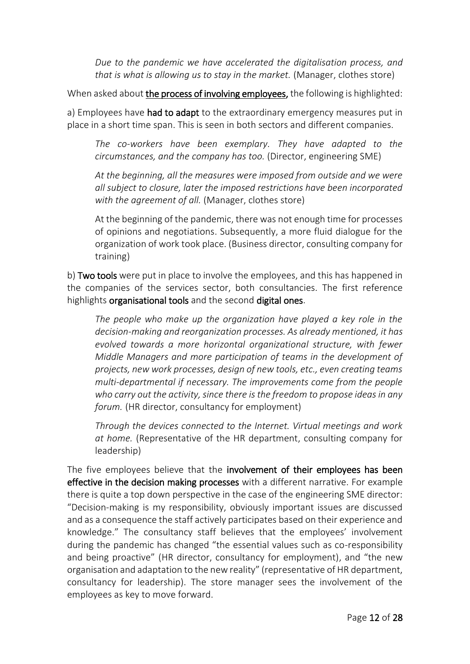*Due to the pandemic we have accelerated the digitalisation process, and that is what is allowing us to stay in the market.* (Manager, clothes store)

When asked about the process of involving employees, the following is highlighted:

a) Employees have had to adapt to the extraordinary emergency measures put in place in a short time span. This is seen in both sectors and different companies.

*The co-workers have been exemplary. They have adapted to the circumstances, and the company has too.* (Director, engineering SME)

*At the beginning, all the measures were imposed from outside and we were all subject to closure, later the imposed restrictions have been incorporated with the agreement of all.* (Manager, clothes store)

At the beginning of the pandemic, there was not enough time for processes of opinions and negotiations. Subsequently, a more fluid dialogue for the organization of work took place. (Business director, consulting company for training)

b) Two tools were put in place to involve the employees, and this has happened in the companies of the services sector, both consultancies. The first reference highlights organisational tools and the second digital ones.

*The people who make up the organization have played a key role in the decision-making and reorganization processes. As already mentioned, it has evolved towards a more horizontal organizational structure, with fewer Middle Managers and more participation of teams in the development of projects, new work processes, design of new tools, etc., even creating teams multi-departmental if necessary. The improvements come from the people who carry out the activity, since there is the freedom to propose ideas in any forum.* (HR director, consultancy for employment)

*Through the devices connected to the Internet. Virtual meetings and work at home.* (Representative of the HR department, consulting company for leadership)

The five employees believe that the involvement of their employees has been effective in the decision making processes with a different narrative. For example there is quite a top down perspective in the case of the engineering SME director: "Decision-making is my responsibility, obviously important issues are discussed and as a consequence the staff actively participates based on their experience and knowledge." The consultancy staff believes that the employees' involvement during the pandemic has changed "the essential values such as co-responsibility and being proactive" (HR director, consultancy for employment), and "the new organisation and adaptation to the new reality" (representative of HR department, consultancy for leadership). The store manager sees the involvement of the employees as key to move forward.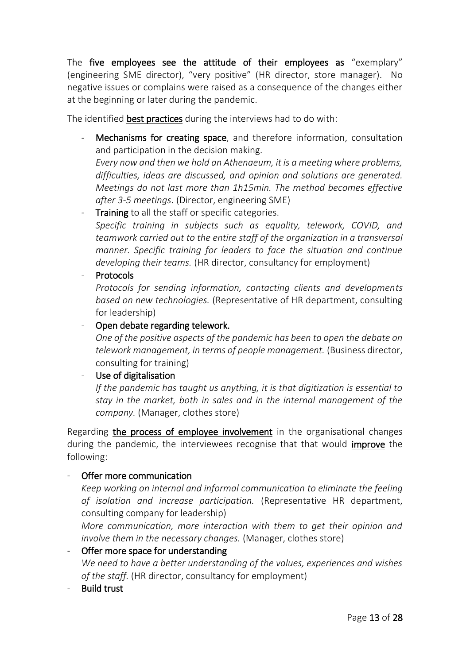The five employees see the attitude of their employees as "exemplary" (engineering SME director), "very positive" (HR director, store manager). No negative issues or complains were raised as a consequence of the changes either at the beginning or later during the pandemic.

The identified best practices during the interviews had to do with:

Mechanisms for creating space, and therefore information, consultation and participation in the decision making. *Every now and then we hold an Athenaeum, it is a meeting where problems, difficulties, ideas are discussed, and opinion and solutions are generated.* 

*Meetings do not last more than 1h15min. The method becomes effective after 3-5 meetings*. (Director, engineering SME)

Training to all the staff or specific categories. *Specific training in subjects such as equality, telework, COVID, and teamwork carried out to the entire staff of the organization in a transversal manner. Specific training for leaders to face the situation and continue developing their teams.* (HR director, consultancy for employment)

**Protocols** 

*Protocols for sending information, contacting clients and developments based on new technologies.* (Representative of HR department, consulting for leadership)

## - Open debate regarding telework.

*One of the positive aspects of the pandemic has been to open the debate on telework management, in terms of people management.* (Business director, consulting for training)

#### - Use of digitalisation

*If the pandemic has taught us anything, it is that digitization is essential to stay in the market, both in sales and in the internal management of the company.* (Manager, clothes store)

Regarding the process of employee involvement in the organisational changes during the pandemic, the interviewees recognise that that would improve the following:

# Offer more communication

*Keep working on internal and informal communication to eliminate the feeling of isolation and increase participation.* (Representative HR department, consulting company for leadership)

*More communication, more interaction with them to get their opinion and involve them in the necessary changes.* (Manager, clothes store)

Offer more space for understanding *We need to have a better understanding of the values, experiences and wishes of the staff.* (HR director, consultancy for employment)

**Build trust**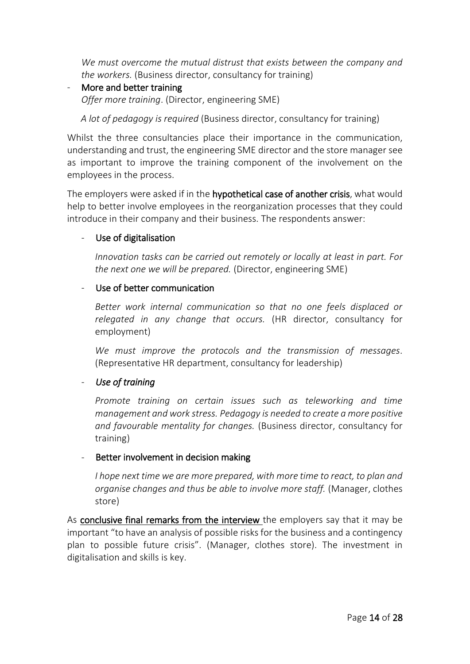*We must overcome the mutual distrust that exists between the company and the workers.* (Business director, consultancy for training)

More and better training *Offer more training*. (Director, engineering SME)

*A lot of pedagogy is required* (Business director, consultancy for training)

Whilst the three consultancies place their importance in the communication, understanding and trust, the engineering SME director and the store manager see as important to improve the training component of the involvement on the employees in the process.

The employers were asked if in the hypothetical case of another crisis, what would help to better involve employees in the reorganization processes that they could introduce in their company and their business. The respondents answer:

#### Use of digitalisation

*Innovation tasks can be carried out remotely or locally at least in part. For the next one we will be prepared.* (Director, engineering SME)

#### - Use of better communication

*Better work internal communication so that no one feels displaced or relegated in any change that occurs.* (HR director, consultancy for employment)

*We must improve the protocols and the transmission of messages.*  (Representative HR department, consultancy for leadership)

#### - *Use of training*

*Promote training on certain issues such as teleworking and time management and work stress. Pedagogy is needed to create a more positive and favourable mentality for changes.* (Business director, consultancy for training)

#### Better involvement in decision making

*I hope next time we are more prepared, with more time to react, to plan and organise changes and thus be able to involve more staff.* (Manager, clothes store)

As conclusive final remarks from the interview the employers say that it may be important "to have an analysis of possible risks for the business and a contingency plan to possible future crisis". (Manager, clothes store). The investment in digitalisation and skills is key.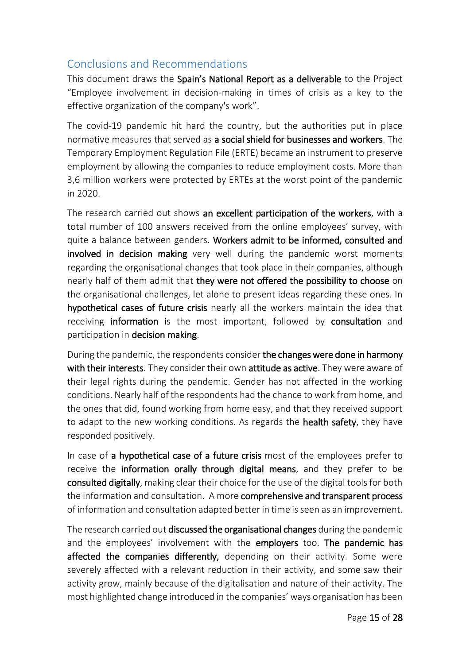# <span id="page-15-0"></span>Conclusions and Recommendations

This document draws the Spain's National Report as a deliverable to the Project "Employee involvement in decision-making in times of crisis as a key to the effective organization of the company's work".

The covid-19 pandemic hit hard the country, but the authorities put in place normative measures that served as a social shield for businesses and workers. The Temporary Employment Regulation File (ERTE) became an instrument to preserve employment by allowing the companies to reduce employment costs. More than 3,6 million workers were protected by ERTEs at the worst point of the pandemic in 2020.

The research carried out shows an excellent participation of the workers, with a total number of 100 answers received from the online employees' survey, with quite a balance between genders. Workers admit to be informed, consulted and involved in decision making very well during the pandemic worst moments regarding the organisational changes that took place in their companies, although nearly half of them admit that they were not offered the possibility to choose on the organisational challenges, let alone to present ideas regarding these ones. In hypothetical cases of future crisis nearly all the workers maintain the idea that receiving information is the most important, followed by consultation and participation in decision making.

During the pandemic, the respondents consider the changes were done in harmony with their interests. They consider their own attitude as active. They were aware of their legal rights during the pandemic. Gender has not affected in the working conditions. Nearly half of the respondents had the chance to work from home, and the ones that did, found working from home easy, and that they received support to adapt to the new working conditions. As regards the **health safety**, they have responded positively.

In case of a hypothetical case of a future crisis most of the employees prefer to receive the information orally through digital means, and they prefer to be consulted digitally, making clear their choice for the use of the digital tools for both the information and consultation. A more comprehensive and transparent process of information and consultation adapted better in time is seen as an improvement.

The research carried out discussed the organisational changes during the pandemic and the employees' involvement with the employers too. The pandemic has affected the companies differently, depending on their activity. Some were severely affected with a relevant reduction in their activity, and some saw their activity grow, mainly because of the digitalisation and nature of their activity. The most highlighted change introduced in the companies' ways organisation has been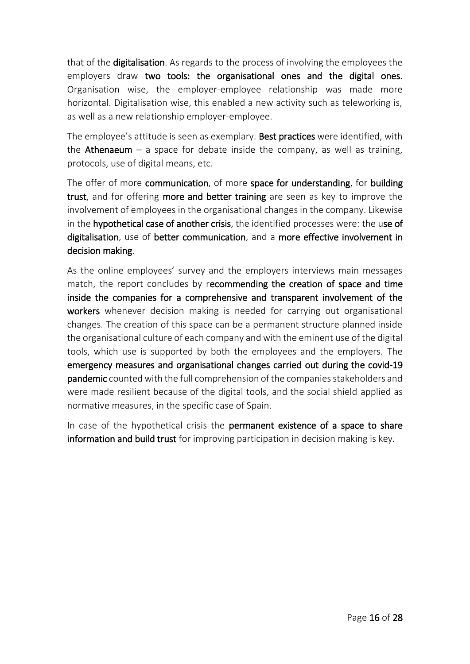that of the digitalisation. As regards to the process of involving the employees the employers draw two tools: the organisational ones and the digital ones. Organisation wise, the employer-employee relationship was made more horizontal. Digitalisation wise, this enabled a new activity such as teleworking is, as well as a new relationship employer-employee.

The employee's attitude is seen as exemplary. Best practices were identified, with the **Athenaeum** – a space for debate inside the company, as well as training, protocols, use of digital means, etc.

The offer of more communication, of more space for understanding, for building trust, and for offering more and better training are seen as key to improve the involvement of employees in the organisational changes in the company. Likewise in the hypothetical case of another crisis, the identified processes were: the use of digitalisation, use of better communication, and a more effective involvement in decision making.

As the online employees' survey and the employers interviews main messages match, the report concludes by recommending the creation of space and time inside the companies for a comprehensive and transparent involvement of the workers whenever decision making is needed for carrying out organisational changes. The creation of this space can be a permanent structure planned inside the organisational culture of each company and with the eminent use of the digital tools, which use is supported by both the employees and the employers. The emergency measures and organisational changes carried out during the covid-19 pandemic counted with the full comprehension of the companies stakeholders and were made resilient because of the digital tools, and the social shield applied as normative measures, in the specific case of Spain.

In case of the hypothetical crisis the permanent existence of a space to share information and build trust for improving participation in decision making is key.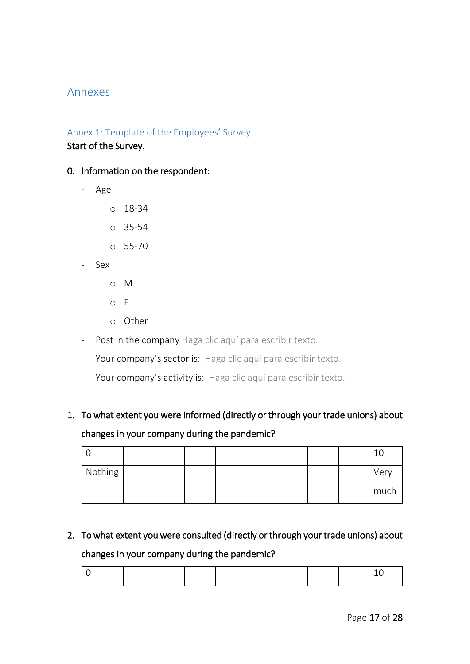## <span id="page-17-0"></span>Annexes

# <span id="page-17-1"></span>Annex 1: Template of the Employees' Survey Start of the Survey.

#### 0. Information on the respondent:

- Age
	- o 18-34
	- o 35-54
	- o 55-70
- Sex
	- o M
	- o F
	- o Other
- Post in the company Haga clic aquí para escribir texto.
- Your company's sector is: Haga clic aquí para escribir texto.
- Your company's activity is: Haga clic aquí para escribir texto.

# 1. To what extent you were informed (directly or through your trade unions) about changes in your company during the pandemic?

|         |  |  |  |  | ΤN   |
|---------|--|--|--|--|------|
| Nothing |  |  |  |  | Very |
|         |  |  |  |  | much |

# 2. To what extent you were consulted (directly or through your trade unions) about

#### changes in your company during the pandemic?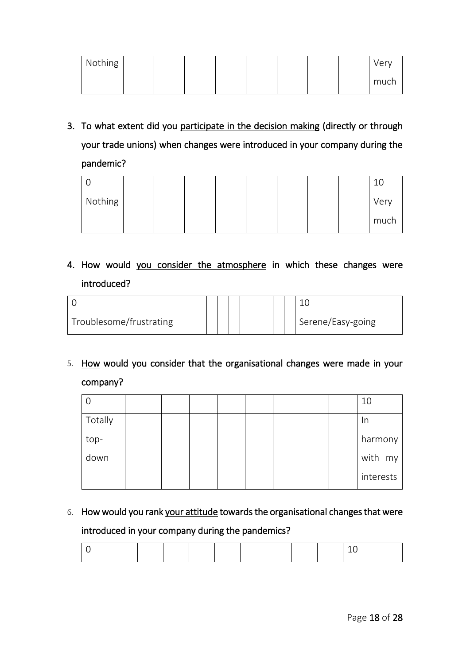| Nothing |  |  |  |  | Very |
|---------|--|--|--|--|------|
|         |  |  |  |  | much |

3. To what extent did you participate in the decision making (directly or through your trade unions) when changes were introduced in your company during the pandemic?

| Nothing |  |  |  |  | Very |
|---------|--|--|--|--|------|
|         |  |  |  |  | much |

# 4. How would you consider the atmosphere in which these changes were introduced?

| Troublesome/frustrating |  |  |  |  | Serene/Easy-going |
|-------------------------|--|--|--|--|-------------------|

5. How would you consider that the organisational changes were made in your company?

|         |  |  |  |  | 10        |
|---------|--|--|--|--|-----------|
| Totally |  |  |  |  | In        |
| top-    |  |  |  |  | harmony   |
| down    |  |  |  |  | with my   |
|         |  |  |  |  | interests |

6. How would you rank your attitude towards the organisational changes that were introduced in your company during the pandemics?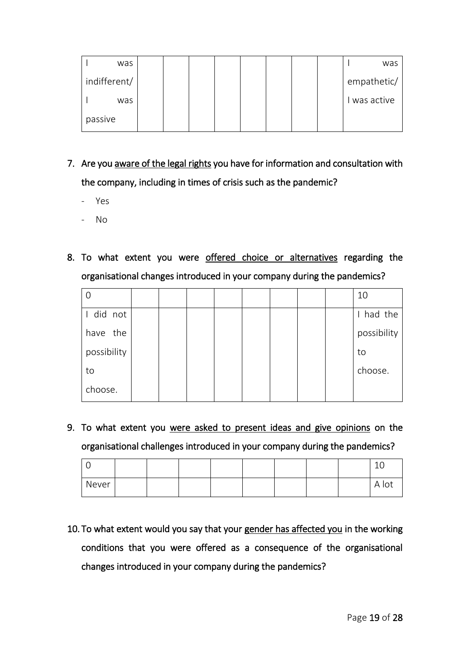|         | was          |  |  |  |  | was         |
|---------|--------------|--|--|--|--|-------------|
|         | indifferent/ |  |  |  |  | empathetic/ |
|         | was          |  |  |  |  | was active  |
| passive |              |  |  |  |  |             |

- 7. Are you aware of the legal rights you have for information and consultation with the company, including in times of crisis such as the pandemic?
	- Yes
	- No
- 8. To what extent you were offered choice or alternatives regarding the organisational changes introduced in your company during the pandemics?

|             |  |  |  |  | 10          |
|-------------|--|--|--|--|-------------|
| did not     |  |  |  |  | had the     |
| have the    |  |  |  |  | possibility |
| possibility |  |  |  |  | to          |
| to          |  |  |  |  | choose.     |
| choose.     |  |  |  |  |             |

9. To what extent you were asked to present ideas and give opinions on the organisational challenges introduced in your company during the pandemics?

|       |  |  |  |  | $\overline{ }$<br>∸∽ |
|-------|--|--|--|--|----------------------|
| Never |  |  |  |  | A IUL                |

10. To what extent would you say that your gender has affected you in the working conditions that you were offered as a consequence of the organisational changes introduced in your company during the pandemics?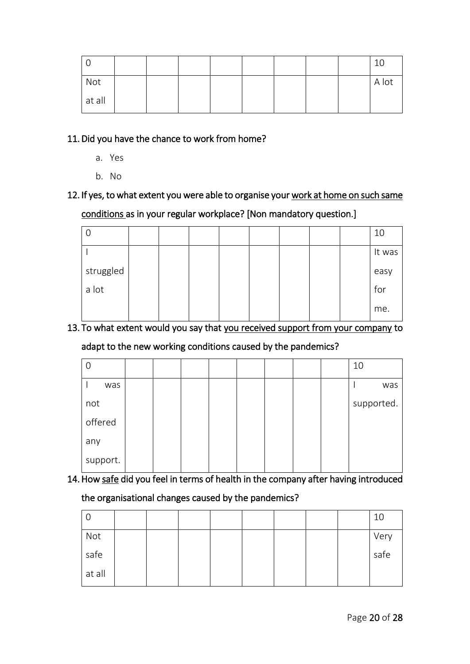| Not    |  |  |  |  | A lot |
|--------|--|--|--|--|-------|
| at all |  |  |  |  |       |

#### 11.Did you have the chance to work from home?

- a. Yes
- b. No

# 12. If yes, to what extent you were able to organise your work at home on such same conditions as in your regular workplace? [Non mandatory question.]

| U         |  |  |  |  | 10     |
|-----------|--|--|--|--|--------|
|           |  |  |  |  | It was |
| struggled |  |  |  |  | easy   |
| a lot     |  |  |  |  | for    |
|           |  |  |  |  | me.    |

#### 13. To what extent would you say that you received support from your company to

#### adapt to the new working conditions caused by the pandemics?

|          |  |  |  |  | 10         |     |
|----------|--|--|--|--|------------|-----|
| was      |  |  |  |  |            | was |
| not      |  |  |  |  | supported. |     |
| offered  |  |  |  |  |            |     |
| any      |  |  |  |  |            |     |
| support. |  |  |  |  |            |     |

# 14.How safe did you feel in terms of health in the company after having introduced

#### the organisational changes caused by the pandemics?

| ∣ O    |  |  |  |  | 10   |
|--------|--|--|--|--|------|
| Not    |  |  |  |  | Very |
| safe   |  |  |  |  | safe |
| at all |  |  |  |  |      |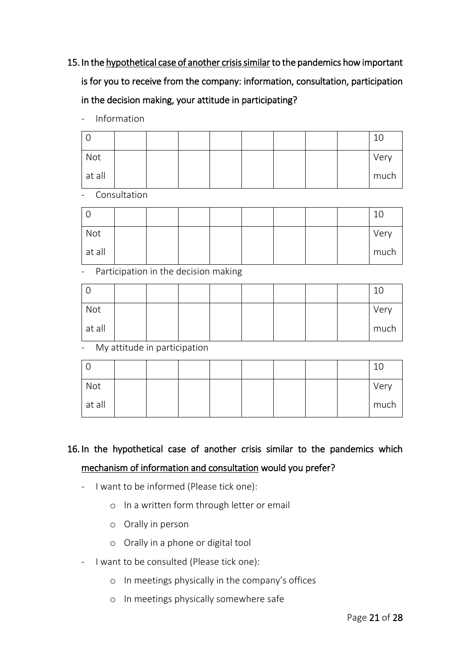- 15. In the hypothetical case of another crisis similar to the pandemics how important is for you to receive from the company: information, consultation, participation in the decision making, your attitude in participating?
	- Information

|        |  |  |  |  | 10   |
|--------|--|--|--|--|------|
| Not    |  |  |  |  | Very |
| at all |  |  |  |  | much |

**Consultation** 

|        |  |  |  |  | 10   |
|--------|--|--|--|--|------|
| Not    |  |  |  |  | Very |
| at all |  |  |  |  | much |

- Participation in the decision making

| Not    |  |  |  |  | Very |
|--------|--|--|--|--|------|
| at all |  |  |  |  | much |

- My attitude in participation

|        |  |  |  |  | 10   |
|--------|--|--|--|--|------|
| Not    |  |  |  |  | Very |
| at all |  |  |  |  | much |

# 16. In the hypothetical case of another crisis similar to the pandemics which mechanism of information and consultation would you prefer?

- I want to be informed (Please tick one):
	- o In a written form through letter or email
	- o Orally in person
	- o Orally in a phone or digital tool
- I want to be consulted (Please tick one):
	- o In meetings physically in the company's offices
	- o In meetings physically somewhere safe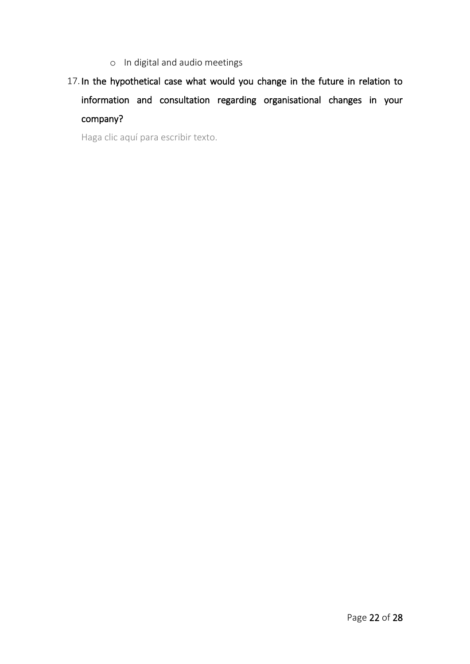- o In digital and audio meetings
- 17. In the hypothetical case what would you change in the future in relation to information and consultation regarding organisational changes in your company?

Haga clic aquí para escribir texto.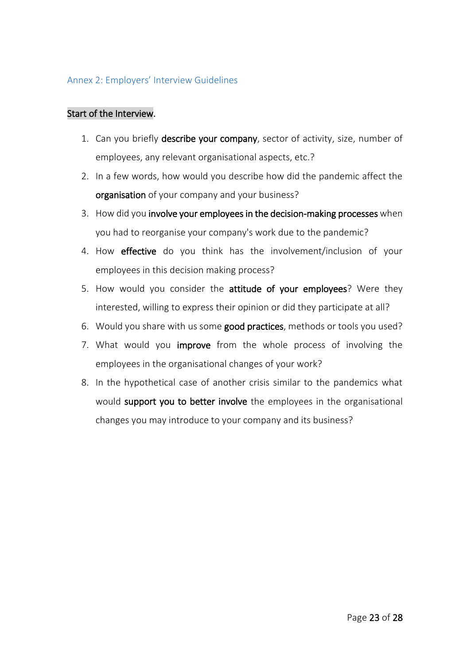#### <span id="page-23-0"></span>Annex 2: Employers' Interview Guidelines

#### Start of the Interview.

- 1. Can you briefly describe your company, sector of activity, size, number of employees, any relevant organisational aspects, etc.?
- 2. In a few words, how would you describe how did the pandemic affect the organisation of your company and your business?
- 3. How did you involve your employees in the decision-making processes when you had to reorganise your company's work due to the pandemic?
- 4. How effective do you think has the involvement/inclusion of your employees in this decision making process?
- 5. How would you consider the attitude of your employees? Were they interested, willing to express their opinion or did they participate at all?
- 6. Would you share with us some good practices, methods or tools you used?
- 7. What would you **improve** from the whole process of involving the employees in the organisational changes of your work?
- 8. In the hypothetical case of another crisis similar to the pandemics what would support you to better involve the employees in the organisational changes you may introduce to your company and its business?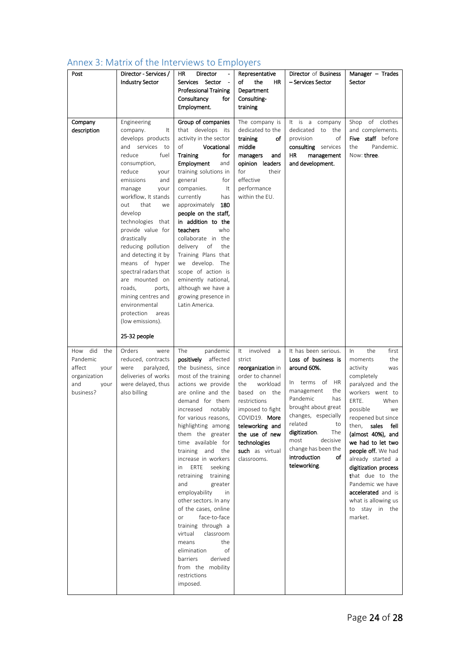| Post                                                                                  | Director - Services /<br><b>Industry Sector</b>                                                                                                                                                                                                                                                                                                                                                                                                                                                                   | ΗR<br>Director<br>$\frac{1}{2}$<br>Services Sector -<br><b>Professional Training</b><br>Consultancy<br>for<br>Employment.                                                                                                                                                                                                                                                                                                                                                                                                                                                                                                                     | Representative<br>the<br>of<br>ΗR<br>Department<br>Consulting-<br>training                                                                                                                                                                         | Director of Business<br>– Services Sector                                                                                                                                                                                                                                                              | Manager $-$ Trades<br>Sector                                                                                                                                                                                                                                                                                                                                                                                                      |
|---------------------------------------------------------------------------------------|-------------------------------------------------------------------------------------------------------------------------------------------------------------------------------------------------------------------------------------------------------------------------------------------------------------------------------------------------------------------------------------------------------------------------------------------------------------------------------------------------------------------|-----------------------------------------------------------------------------------------------------------------------------------------------------------------------------------------------------------------------------------------------------------------------------------------------------------------------------------------------------------------------------------------------------------------------------------------------------------------------------------------------------------------------------------------------------------------------------------------------------------------------------------------------|----------------------------------------------------------------------------------------------------------------------------------------------------------------------------------------------------------------------------------------------------|--------------------------------------------------------------------------------------------------------------------------------------------------------------------------------------------------------------------------------------------------------------------------------------------------------|-----------------------------------------------------------------------------------------------------------------------------------------------------------------------------------------------------------------------------------------------------------------------------------------------------------------------------------------------------------------------------------------------------------------------------------|
| Company<br>description                                                                | Engineering<br>company.<br>It<br>develops products<br>and services<br>to<br>reduce<br>fuel<br>consumption,<br>reduce<br>your<br>emissions<br>and<br>manage<br>your<br>workflow. It stands<br>that<br>out<br>we<br>develop<br>technologies that<br>provide value for<br>drastically<br>reducing pollution<br>and detecting it by<br>means of hyper<br>spectral radars that<br>are mounted on<br>roads.<br>ports,<br>mining centres and<br>environmental<br>protection<br>areas<br>(low emissions).<br>25-32 people | Group of companies<br>that develops its<br>activity in the sector<br>Vocational<br>of<br><b>Training</b><br>for<br>Employment<br>and<br>training solutions in<br>general<br>for<br>companies.<br>It<br>currently<br>has<br>approximately<br>180<br>people on the staff,<br>in addition to the<br>teachers<br>who<br>collaborate in the<br>delivery<br>of<br>the<br>Training Plans that<br>we develop. The<br>scope of action is<br>eminently national,<br>although we have a<br>growing presence in<br>Latin America.                                                                                                                         | The company is<br>dedicated to the<br>training<br>of<br>middle<br>managers<br>and<br>opinion leaders<br>for<br>their<br>effective<br>performance<br>within the EU.                                                                                 | It is a company<br>dedicated<br>to<br>the<br>οf<br>provision<br>consulting services<br>ΗR<br>management<br>and development.                                                                                                                                                                            | Shop of clothes<br>and complements.<br>Five staff before<br>Pandemic.<br>the<br>Now: three.                                                                                                                                                                                                                                                                                                                                       |
| How did the<br>Pandemic<br>affect<br>your<br>organization<br>and<br>your<br>business? | Orders<br>were<br>reduced, contracts<br>paralyzed,<br>were<br>deliveries of works<br>were delayed, thus<br>also billing                                                                                                                                                                                                                                                                                                                                                                                           | The<br>pandemic<br>positively affected<br>the business, since<br>most of the training<br>actions we provide<br>are online and the<br>demand for them<br>increased<br>notably<br>for various reasons,<br>highlighting among<br>them the greater<br>time available for<br>training and the<br>increase in workers<br>ERTE<br>in<br>seeking<br>retraining<br>training<br>and<br>greater<br>employability<br>in<br>other sectors. In any<br>of the cases, online<br>face-to-face<br>or<br>training through a<br>virtual<br>classroom<br>means<br>the<br>of<br>elimination<br>barriers<br>derived<br>from the mobility<br>restrictions<br>imposed. | It involved<br>a<br>strict<br>reorganization in<br>order to channel<br>workload<br>the<br>based on the<br>restrictions<br>imposed to fight<br>COVID19. More<br>teleworking and<br>the use of new<br>technologies<br>such as virtual<br>classrooms. | It has been serious.<br>Loss of business is<br>around 60%.<br>In terms of<br><b>HR</b><br>management<br>the<br>Pandemic<br>has<br>brought about great<br>changes, especially<br>related<br>to<br>digitization.<br>The<br>decisive<br>most<br>change has been the<br>introduction<br>оf<br>teleworking. | first<br>$\ln$<br>the<br>the<br>moments<br>activity<br>was<br>completely<br>paralyzed and the<br>workers went to<br>ERTE.<br>When<br>possible<br>we<br>reopened but since<br>sales<br>fell<br>then,<br>(almost 40%), and<br>we had to let two<br>people off. We had<br>already started a<br>digitization process<br>that due to the<br>Pandemic we have<br>accelerated and is<br>what is allowing us<br>to stay in the<br>market. |

# <span id="page-24-0"></span>Annex 3: Matrix of the Interviews to Employers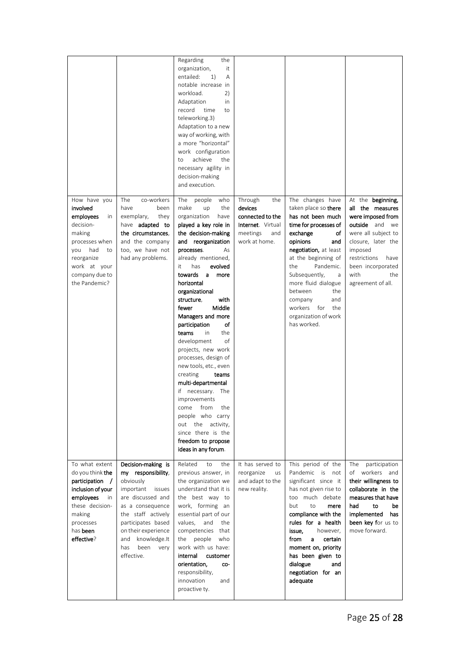|                                                                                                                                                                           |                                                                                                                                                                                                                                                      | Regarding<br>the<br>organization,<br>it<br>entailed:<br>1)<br>A<br>notable increase in<br>workload.<br>2)<br>Adaptation<br>in<br>record<br>time<br>to<br>teleworking.3)<br>Adaptation to a new<br>way of working, with<br>a more "horizontal"<br>work configuration<br>achieve<br>the<br>to<br>necessary agility in<br>decision-making<br>and execution.                                                                                                                                                                                                                                                                                                                                   |                                                                                                        |                                                                                                                                                                                                                                                                                                                                               |                                                                                                                                                                                                                              |
|---------------------------------------------------------------------------------------------------------------------------------------------------------------------------|------------------------------------------------------------------------------------------------------------------------------------------------------------------------------------------------------------------------------------------------------|--------------------------------------------------------------------------------------------------------------------------------------------------------------------------------------------------------------------------------------------------------------------------------------------------------------------------------------------------------------------------------------------------------------------------------------------------------------------------------------------------------------------------------------------------------------------------------------------------------------------------------------------------------------------------------------------|--------------------------------------------------------------------------------------------------------|-----------------------------------------------------------------------------------------------------------------------------------------------------------------------------------------------------------------------------------------------------------------------------------------------------------------------------------------------|------------------------------------------------------------------------------------------------------------------------------------------------------------------------------------------------------------------------------|
| How have you<br>involved<br>employees<br>in<br>decision-<br>making<br>processes when<br>had<br>you<br>to<br>reorganize<br>work at your<br>company due to<br>the Pandemic? | <b>The</b><br>co-workers<br>have<br>been<br>exemplary,<br>they<br>have <b>adapted</b> to<br>the circumstances.<br>and the company<br>too, we have not<br>had any problems.                                                                           | people<br>The<br>who<br>make<br>the<br>up<br>organization<br>have<br>played a key role in<br>the decision-making<br>and reorganization<br>processes.<br>As<br>already mentioned,<br>it<br>has<br>evolved<br>towards<br>more<br>a a<br>horizontal<br>organizational<br>structure,<br>with<br>Middle<br>fewer<br>Managers and more<br>of<br>participation<br>teams<br>in.<br>the<br>development<br>of<br>projects, new work<br>processes, design of<br>new tools, etc., even<br>creating<br>teams<br>multi-departmental<br>if necessary. The<br>improvements<br>the<br>come from<br>people who carry<br>out the activity,<br>since there is the<br>freedom to propose<br>ideas in any forum. | Through<br>the<br>devices<br>connected to the<br>Internet. Virtual<br>meetings<br>and<br>work at home. | The changes have<br>taken place so there<br>has not been much<br>time for processes of<br>exchange<br>оf<br>opinions<br>and<br>negotiation, at least<br>at the beginning of<br>Pandemic.<br>the<br>Subsequently,<br>a<br>more fluid dialogue<br>between<br>the<br>company<br>and<br>workers for<br>the<br>organization of work<br>has worked. | At the beginning,<br>all the measures<br>were imposed from<br><b>outside</b> and we<br>were all subject to<br>closure, later the<br>imposed<br>restrictions<br>have<br>been incorporated<br>with<br>the<br>agreement of all. |
| To what extent<br>do you think <b>the</b><br>participation /<br>inclusion of your<br>employees<br>in<br>these decision-<br>making<br>processes<br>has been<br>effective?  | Decision-making is<br>my responsibility,<br>obviously<br>important<br>issues<br>are discussed and<br>as a consequence<br>the staff actively<br>participates based<br>on their experience<br>knowledge.It<br>and<br>has<br>been<br>very<br>effective. | Related<br>the<br>to<br>previous answer, in<br>the organization we<br>understand that it is<br>the best way to<br>work, forming an<br>essential part of our<br>values,<br>and<br>the<br>competencies<br>that<br>the<br>people<br>who<br>work with us have:<br>internal<br>customer<br>orientation,<br>co-<br>responsibility,<br>innovation<br>and<br>proactive ty.                                                                                                                                                                                                                                                                                                                         | It has served to<br>reorganize<br>us<br>and adapt to the<br>new reality.                               | This period of the<br>Pandemic is not<br>significant since it<br>has not given rise to<br>too much debate<br>but<br>to<br>mere<br>compliance with the<br>rules for a health<br>issue,<br>however,<br>from<br>certain<br>a<br>moment on, priority<br>has been given to<br>dialogue<br>and<br>negotiation for an<br>adequate                    | The<br>participation<br>of workers and<br>their willingness to<br>collaborate in the<br>measures that have<br>had<br>to<br>be<br>implemented<br>has<br>been key for us to<br>move forward.                                   |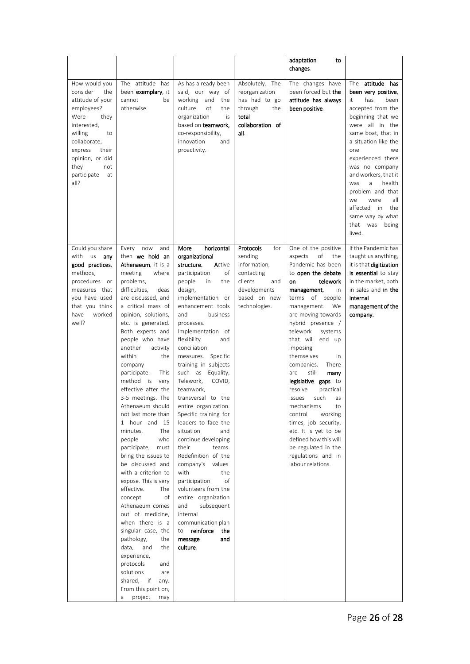|                                                                                                                                                                                                                       |                                                                                                                                                                                                                                                                                                                                                                                                                                                                                                                                                                                                                                                                                                                                                                                                                                                                                                                   |                                                                                                                                                                                                                                                                                                                                                                                                                                                                                                                                                                                                                                                                                                                                                                              |                                                                                                                              | adaptation<br>to<br>changes.                                                                                                                                                                                                                                                                                                                                                                                                                                                                                                                                                                           |                                                                                                                                                                                                                                                                                                                                                                                                   |
|-----------------------------------------------------------------------------------------------------------------------------------------------------------------------------------------------------------------------|-------------------------------------------------------------------------------------------------------------------------------------------------------------------------------------------------------------------------------------------------------------------------------------------------------------------------------------------------------------------------------------------------------------------------------------------------------------------------------------------------------------------------------------------------------------------------------------------------------------------------------------------------------------------------------------------------------------------------------------------------------------------------------------------------------------------------------------------------------------------------------------------------------------------|------------------------------------------------------------------------------------------------------------------------------------------------------------------------------------------------------------------------------------------------------------------------------------------------------------------------------------------------------------------------------------------------------------------------------------------------------------------------------------------------------------------------------------------------------------------------------------------------------------------------------------------------------------------------------------------------------------------------------------------------------------------------------|------------------------------------------------------------------------------------------------------------------------------|--------------------------------------------------------------------------------------------------------------------------------------------------------------------------------------------------------------------------------------------------------------------------------------------------------------------------------------------------------------------------------------------------------------------------------------------------------------------------------------------------------------------------------------------------------------------------------------------------------|---------------------------------------------------------------------------------------------------------------------------------------------------------------------------------------------------------------------------------------------------------------------------------------------------------------------------------------------------------------------------------------------------|
| How would you<br>consider<br>the<br>attitude of your<br>employees?<br>Were<br>they<br>interested,<br>willing<br>to<br>collaborate,<br>express<br>their<br>opinion, or did<br>they<br>not<br>participate<br>at<br>all? | The attitude has<br>been exemplary, it<br>cannot<br>be<br>otherwise.                                                                                                                                                                                                                                                                                                                                                                                                                                                                                                                                                                                                                                                                                                                                                                                                                                              | As has already been<br>said, our way of<br>and<br>working<br>the<br>culture<br>of<br>the<br>organization<br>is<br>based on teamwork,<br>co-responsibility,<br>innovation<br>and<br>proactivity.                                                                                                                                                                                                                                                                                                                                                                                                                                                                                                                                                                              | Absolutely. The<br>reorganization<br>has had to go<br>through<br>the<br>total<br>collaboration of<br>all.                    | The changes have<br>been forced but the<br>attitude has always<br>been positive.                                                                                                                                                                                                                                                                                                                                                                                                                                                                                                                       | attitude has<br>The<br>been very positive,<br>has<br>been<br>it<br>accepted from the<br>beginning that we<br>were all in the<br>same boat, that in<br>a situation like the<br>one<br>we<br>experienced there<br>was no company<br>and workers, that it<br>a<br>health<br>was<br>problem and that<br>were<br>all<br>we<br>affected<br>the<br>in<br>same way by what<br>that<br>was being<br>lived. |
| Could you share<br>with us any<br>good practices.<br>methods,<br>procedures<br>or<br>measures that<br>you have used<br>that you think<br>worked<br>have<br>well?                                                      | Every<br>now<br>and<br>then we hold an<br>Athenaeum, it is a<br>meeting<br>where<br>problems,<br>difficulties,<br>ideas<br>are discussed, and<br>a critical mass of<br>opinion, solutions,<br>etc. is generated.<br>Both experts and<br>people who have<br>another<br>activity<br>within<br>the<br>company<br>participate.<br>This<br>method is<br>very<br>effective after the<br>3-5 meetings. The<br>Athenaeum should<br>not last more than<br>1 hour and 15<br>The<br>minutes.<br>people<br>who<br>participate,<br>must<br>bring the issues to<br>be discussed and<br>with a criterion to<br>expose. This is very<br>effective.<br>The<br>concept<br>οf<br>Athenaeum comes<br>out of medicine,<br>when there is a<br>singular case, the<br>pathology,<br>the<br>and<br>data,<br>the<br>experience,<br>protocols<br>and<br>solutions<br>are<br>shared, if<br>any.<br>From this point on,<br>project<br>may<br>a | horizontal<br>More<br>organizational<br>structure.<br>Active<br>participation<br>οf<br>people<br>in<br>the<br>design,<br>implementation or<br>enhancement tools<br>and<br>business<br>processes.<br>Implementation of<br>flexibility<br>and<br>conciliation<br>measures. Specific<br>training in subjects<br>such as Equality,<br>Telework,<br>COVID,<br>teamwork,<br>transversal to the<br>entire organization.<br>Specific training for<br>leaders to face the<br>situation<br>and<br>continue developing<br>their<br>teams.<br>Redefinition of the<br>company's values<br>with<br>the<br>participation<br>of<br>volunteers from the<br>entire organization<br>and<br>subsequent<br>internal<br>communication plan<br>reinforce<br>the<br>to<br>message<br>and<br>culture. | Protocols<br>for<br>sending<br>information,<br>contacting<br>clients<br>and<br>developments<br>based on new<br>technologies. | One of the positive<br>οf<br>aspects<br>the<br>Pandemic has been<br>to open the debate<br>on<br>telework<br>management,<br>in<br>terms of people<br>management.<br>We<br>are moving towards<br>hybrid presence /<br>telework<br>systems<br>that will end up<br>imposing<br>themselves<br>in<br>companies.<br>There<br>still<br>are<br>many<br>legislative gaps to<br>resolve<br>practical<br>such<br>issues<br>as<br>mechanisms<br>to<br>control<br>working<br>times, job security,<br>etc. It is yet to be<br>defined how this will<br>be regulated in the<br>regulations and in<br>labour relations. | If the Pandemic has<br>taught us anything,<br>it is that digitization<br>is essential to stay<br>in the market, both<br>in sales and in the<br>internal<br>management of the<br>company.                                                                                                                                                                                                          |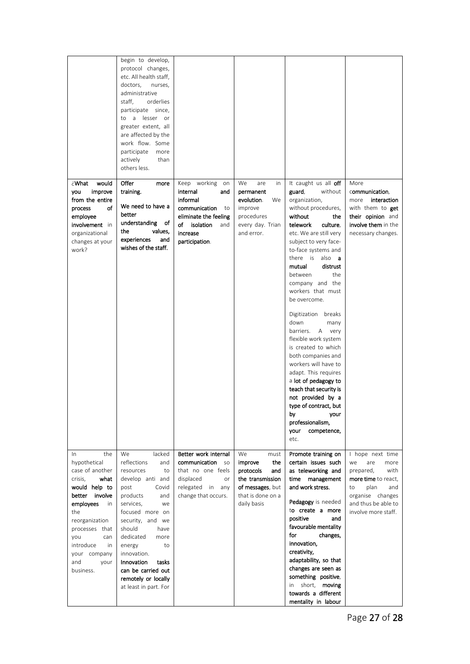|                                                                                                                                                                                                                                                   | begin to develop,<br>protocol changes,<br>etc. All health staff,<br>doctors,<br>nurses,<br>administrative<br>staff,<br>orderlies<br>participate since,<br>a lesser or<br>to<br>greater extent, all<br>are affected by the<br>work flow. Some<br>participate<br>more<br>actively<br>than<br>others less.                                    |                                                                                                                                                           |                                                                                                                              |                                                                                                                                                                                                                                                                                                                                                                                                                                                                                                                                                                                                                                                                                     |                                                                                                                                                                          |
|---------------------------------------------------------------------------------------------------------------------------------------------------------------------------------------------------------------------------------------------------|--------------------------------------------------------------------------------------------------------------------------------------------------------------------------------------------------------------------------------------------------------------------------------------------------------------------------------------------|-----------------------------------------------------------------------------------------------------------------------------------------------------------|------------------------------------------------------------------------------------------------------------------------------|-------------------------------------------------------------------------------------------------------------------------------------------------------------------------------------------------------------------------------------------------------------------------------------------------------------------------------------------------------------------------------------------------------------------------------------------------------------------------------------------------------------------------------------------------------------------------------------------------------------------------------------------------------------------------------------|--------------------------------------------------------------------------------------------------------------------------------------------------------------------------|
| :What<br>would<br>improve<br>you<br>from the entire<br>of<br>process<br>employee<br>involvement in<br>organizational<br>changes at your<br>work?                                                                                                  | Offer<br>more<br>training.<br>We need to have a<br>better<br>understanding of<br>the<br>values,<br>experiences<br>and<br>wishes of the staff.                                                                                                                                                                                              | Keep working<br>on<br>internal<br>and<br>informal<br>communication<br>to<br>eliminate the feeling<br>of<br>isolation<br>and<br>increase<br>participation. | We<br>are<br>in<br>permanent<br>evolution.<br>We<br>improve<br>procedures<br>every day. Trian<br>and error.                  | It caught us all off<br>guard,<br>without<br>organization,<br>without procedures,<br>without<br>the<br>telework<br>culture,<br>etc. We are still very<br>subject to very face-<br>to-face systems and<br>there is also <b>a</b><br>mutual<br>distrust<br>between<br>the<br>company and the<br>workers that must<br>be overcome.<br>Digitization breaks<br>down<br>many<br>barriers.<br>A very<br>flexible work system<br>is created to which<br>both companies and<br>workers will have to<br>adapt. This requires<br>a lot of pedagogy to<br>teach that security is<br>not provided by a<br>type of contract, but<br>by<br>your<br>professionalism.<br>competence,<br>your<br>etc. | More<br>communication,<br>interaction<br>more<br>with them to get<br>their opinion and<br>involve them in the<br>necessary changes.                                      |
| the<br>In.<br>hypothetical<br>case of another<br>crisis,<br>what<br>would help to<br>better<br>involve<br>employees<br>in<br>the<br>reorganization<br>processes that<br>you<br>can<br>introduce<br>in<br>your company<br>and<br>your<br>business. | We<br>lacked<br>reflections<br>and<br>resources<br>to<br>develop anti and<br>post<br>Covid<br>products<br>and<br>services,<br>we<br>focused more on<br>security, and we<br>should<br>have<br>dedicated<br>more<br>energy<br>to<br>innovation.<br>Innovation<br>tasks<br>can be carried out<br>remotely or locally<br>at least in part. For | Better work internal<br>communication<br><b>SO</b><br>that no one feels<br>displaced<br>or<br>relegated in any<br>change that occurs.                     | We<br>must<br>improve<br>the<br>protocols<br>and<br>the transmission<br>of messages, but<br>that is done on a<br>daily basis | Promote training on<br>certain issues such<br>as teleworking and<br>time management<br>and work stress.<br>Pedagogy is needed<br>to create a more<br>positive<br>and<br>favourable mentality<br>for<br>changes,<br>innovation,<br>creativity,<br>adaptability, so that<br>changes are seen as<br>something positive,<br>short, <b>moving</b><br>in<br>towards a different<br>mentality in labour                                                                                                                                                                                                                                                                                    | I hope next time<br>we<br>are<br>more<br>prepared,<br>with<br>more time to react,<br>plan<br>and<br>to<br>organise changes<br>and thus be able to<br>involve more staff. |